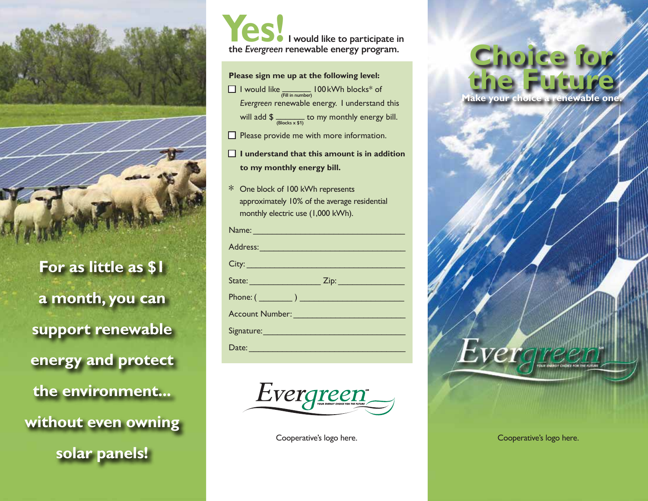

**For as little as \$1 a month, you can support renewable energy and protect the environment... without even owning solar panels!**

 **I would like to participate in the** *Evergreen* **renewable energy program. Yes!**

**Please sign me up at the following level:**

- **1** I would like  $\frac{1}{(F\text{iii in number})}$  100 kWh blocks<sup>\*</sup> of *Evergreen* renewable energy. I understand this will add  $\oint \frac{B{(\text{blocks} \times $1)}}{B{(\text{blocks} \times $1)}}$  to my monthly energy bill.
- $\Box$  Please provide me with more information.
- □ **I** understand that this amount is in addition **to my monthly energy bill.**
- \* One block of 100 kWh represents approximately 10% of the average residential monthly electric use (1,000 kWh).

| Name: Name and the state of the state of the state of the state of the state of the state of the state of the                                                                                                                        |
|--------------------------------------------------------------------------------------------------------------------------------------------------------------------------------------------------------------------------------------|
| Address: New York Street, New York Street, New York Street, New York Street, New York Street, New York Street,                                                                                                                       |
| City: <u>City: City: City: City: City: City: City: City: City: City: City: City: City: City: City: City: City: City: City: City: City: City: City: City: City: City: City: City: City: City: City: City: City: City: City: City:</u> |
|                                                                                                                                                                                                                                      |
|                                                                                                                                                                                                                                      |
| Account Number: Management Communication                                                                                                                                                                                             |
| Signature: Management Communication                                                                                                                                                                                                  |
| Date:                                                                                                                                                                                                                                |



## **Choice for the Future Make your choice a renewable one.**



Evergree